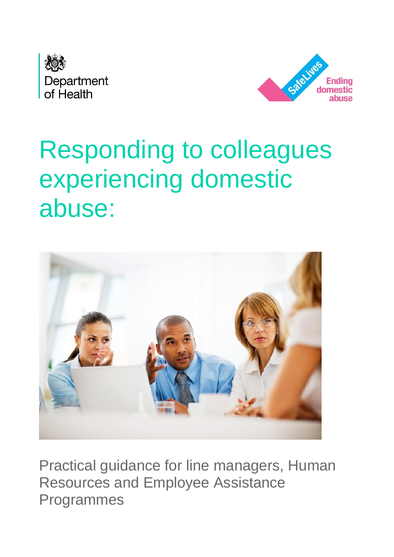



# Responding to colleagues experiencing domestic abuse:



Practical guidance for line managers, Human Resources and Employee Assistance Programmes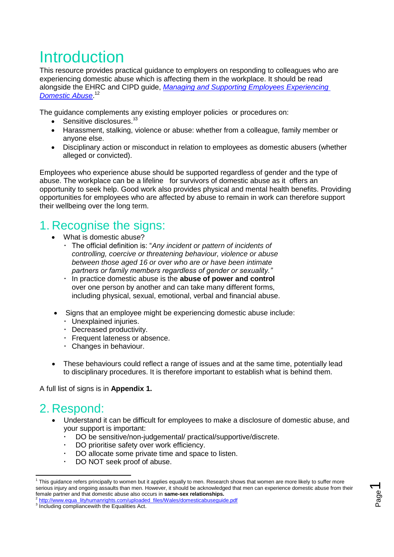## **Introduction**

This resource provides practical guidance to employers on responding to colleagues who are experiencing domestic abuse which is affecting them in the workplace. It should be read alongside the EHRC and CIPD guide, *[Managing and Supporting Employees Experiencing](http://www.equalityhumanrights.com/uploaded_files/Wales/domesticabuseguide.pdf)  [Domestic Abuse](http://www.equalityhumanrights.com/uploaded_files/Wales/domesticabuseguide.pdf)*. 12

The guidance complements any existing employer policies or procedures on:

- Sensitive disclosures.<sup>33</sup>
- Harassment, stalking, violence or abuse: whether from a colleague, family member or anyone else.
- Disciplinary action or misconduct in relation to employees as domestic abusers (whether alleged or convicted).

Employees who experience abuse should be supported regardless of gender and the type of abuse. The workplace can be a lifeline for survivors of domestic abuse as it offers an opportunity to seek help. Good work also provides physical and mental health benefits. Providing opportunities for employees who are affected by abuse to remain in work can therefore support their wellbeing over the long term.

### 1. Recognise the signs:

- What is domestic abuse?
	- The official definition is: "*Any incident or pattern of incidents of controlling, coercive or threatening behaviour, violence or abuse between those aged 16 or over who are or have been intimate partners or family members regardless of gender or sexuality."*
	- In practice domestic abuse is the **abuse of power and control**  over one person by another and can take many different forms, including physical, sexual, emotional, verbal and financial abuse.
- Signs that an employee might be experiencing domestic abuse include:
	- Unexplained injuries.
	- Decreased productivity.
	- Frequent lateness or absence.
	- Changes in behaviour.
- These behaviours could reflect a range of issues and at the same time, potentially lead to disciplinary procedures. It is therefore important to establish what is behind them.

A full list of signs is in **Appendix 1.**

### 2. Respond:

- Understand it can be difficult for employees to make a disclosure of domestic abuse, and your support is important:
	- DO be sensitive/non-judgemental/ practical/supportive/discrete.
	- DO prioritise safety over work efficiency.
	- DO allocate some private time and space to listen.
	- DO NOT seek proof of abuse.

**<sup>.</sup>** <sup>1</sup> This guidance refers principally to women but it applies equally to men. Research shows that women are more likely to suffer more serious injury and ongoing assaults than men. However, it should be acknowledged that men can experience domestic abuse from their female partner and that domestic abuse also occurs in **same-sex relationships.**

<sup>2</sup> [http://www.equa lityhumanrights.com/uploaded\\_files/Wales/domesticabuseguide.pdf](http://www.equalityhumanrights.com/uploaded_files/Wales/domesticabuseguide.pdf)

 $^3$  Including compliancewith the Equalities Act.  $\hfill\square$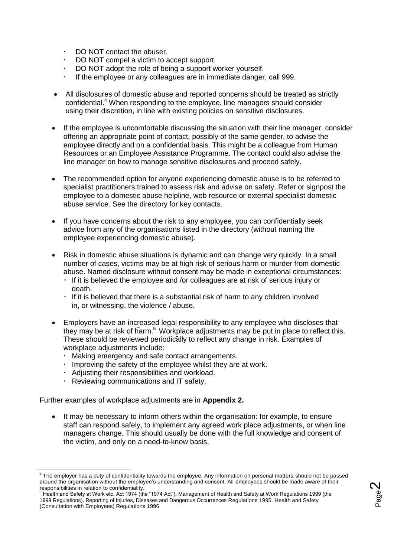- DO NOT contact the abuser.
- DO NOT compel a victim to accept support.
- DO NOT adopt the role of being a support worker yourself.
- If the employee or any colleagues are in immediate danger, call 999.
- All disclosures of domestic abuse and reported concerns should be treated as strictly confidential.<sup>4</sup> When responding to the employee, line managers should consider using their discretion, in line with existing policies on sensitive disclosures.
- If the employee is uncomfortable discussing the situation with their line manager, consider offering an appropriate point of contact, possibly of the same gender, to advise the employee directly and on a confidential basis. This might be a colleague from Human Resources or an Employee Assistance Programme. The contact could also advise the line manager on how to manage sensitive disclosures and proceed safely.
- The recommended option for anyone experiencing domestic abuse is to be referred to specialist practitioners trained to assess risk and advise on safety. Refer or signpost the employee to a domestic abuse helpline, web resource or external specialist domestic abuse service. See the directory for key contacts.
- If you have concerns about the risk to any employee, you can confidentially seek advice from any of the organisations listed in the directory (without naming the employee experiencing domestic abuse).
- Risk in domestic abuse situations is dynamic and can change very quickly. In a small number of cases, victims may be at high risk of serious harm or murder from domestic abuse. Named disclosure without consent may be made in exceptional circumstances:
	- If it is believed the employee and /or colleagues are at risk of serious injury or death.
	- If it is believed that there is a substantial risk of harm to any children involved in, or witnessing, the violence / abuse.
- Employers have an increased legal responsibility to any employee who discloses that they may be at risk of harm.<sup>5</sup> Workplace adjustments may be put in place to reflect this. These should be reviewed periodically to reflect any change in risk. Examples of workplace adjustments include:
	- Making emergency and safe contact arrangements.
	- Improving the safety of the employee whilst they are at work.
	- Adjusting their responsibilities and workload.
	- Reviewing communications and IT safety.

-

Further examples of workplace adjustments are in **Appendix 2.**

 It may be necessary to inform others within the organisation: for example, to ensure staff can respond safely, to implement any agreed work place adjustments, or when line managers change. This should usually be done with the full knowledge and consent of the victim, and only on a need-to-know basis.



<sup>&</sup>lt;sup>4</sup> The employer has a duty of confidentiality towards the employee. Any information on personal matters should not be passed around the organisation without the employee's understanding and consent. All employees should be made aware of their responsibilities in relation to confidentiality.

<sup>5</sup> Health and Safety at Work etc. Act 1974 (the "1974 Act"). Management of Health and Safety at Work Regulations 1999 (the 1999 Regulations). Reporting of Injuries, Diseases and Dangerous Occurrences Regulations 1995. Health and Safety (Consultation with Employees) Regulations 1996.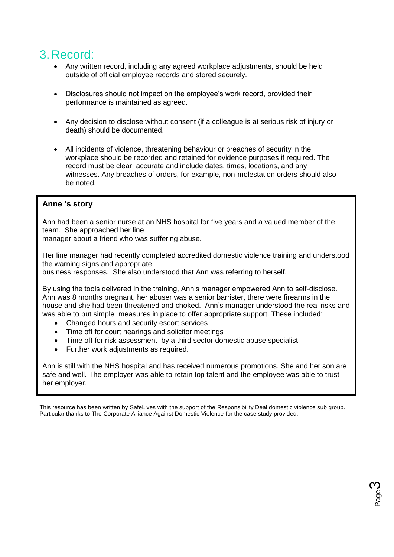### 3.Record:

- Any written record, including any agreed workplace adjustments, should be held outside of official employee records and stored securely.
- Disclosures should not impact on the employee's work record, provided their performance is maintained as agreed.
- Any decision to disclose without consent (if a colleague is at serious risk of injury or death) should be documented.
- All incidents of violence, threatening behaviour or breaches of security in the workplace should be recorded and retained for evidence purposes if required. The record must be clear, accurate and include dates, times, locations, and any witnesses. Any breaches of orders, for example, non-molestation orders should also be noted.

#### **Anne 's story**

Ann had been a senior nurse at an NHS hospital for five years and a valued member of the team. She approached her line

manager about a friend who was suffering abuse.

Her line manager had recently completed accredited domestic violence training and understood the warning signs and appropriate

business responses. She also understood that Ann was referring to herself.

By using the tools delivered in the training, Ann's manager empowered Ann to self-disclose. Ann was 8 months pregnant, her abuser was a senior barrister, there were firearms in the house and she had been threatened and choked. Ann's manager understood the real risks and was able to put simple measures in place to offer appropriate support. These included:

- Changed hours and security escort services
- Time off for court hearings and solicitor meetings
- Time off for risk assessment by a third sector domestic abuse specialist
- Further work adjustments as required.

Ann is still with the NHS hospital and has received numerous promotions. She and her son are safe and well. The employer was able to retain top talent and the employee was able to trust her employer.

This resource has been written by SafeLives with the support of the Responsibility Deal domestic violence sub group. Particular thanks to The Corporate Alliance Against Domestic Violence for the case study provided.

> P $\mathbf \sigma$ ರಾ eო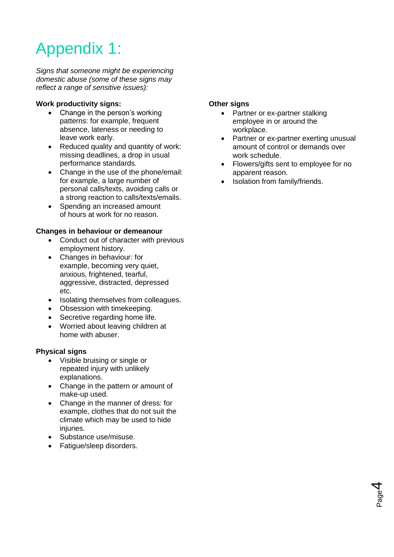## Appendix 1:

*Signs that someone might be experiencing domestic abuse (some of these signs may reflect a range of sensitive issues):*

#### **Work productivity signs:**

- Change in the person's working patterns: for example, frequent absence, lateness or needing to leave work early.
- Reduced quality and quantity of work: missing deadlines, a drop in usual performance standards.
- Change in the use of the phone/email: for example, a large number of personal calls/texts, avoiding calls or a strong reaction to calls/texts/emails.
- Spending an increased amount of hours at work for no reason.

#### **Changes in behaviour or demeanour**

- Conduct out of character with previous employment history.
- Changes in behaviour: for example, becoming very quiet, anxious, frightened, tearful, aggressive, distracted, depressed etc.
- Isolating themselves from colleagues.
- Obsession with timekeeping.
- Secretive regarding home life.
- Worried about leaving children at home with abuser.

#### **Physical signs**

- Visible bruising or single or repeated injury with unlikely explanations.
- Change in the pattern or amount of make-up used.
- Change in the manner of dress: for example, clothes that do not suit the climate which may be used to hide injuries.
- Substance use/misuse.
- Fatigue/sleep disorders.

#### **Other signs**

- Partner or ex-partner stalking employee in or around the workplace.
- Partner or ex-partner exerting unusual amount of control or demands over work schedule.
- Flowers/gifts sent to employee for no apparent reason.

P $\sigma$ ರಾ e4

• Isolation from family/friends.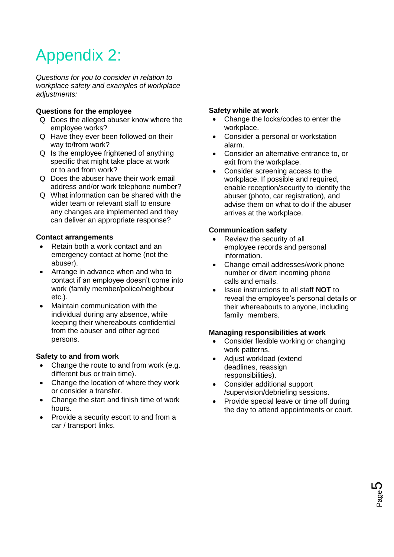## Appendix 2:

*Questions for you to consider in relation to workplace safety and examples of workplace adjustments:*

#### **Questions for the employee**

- Q Does the alleged abuser know where the employee works?
- Q Have they ever been followed on their way to/from work?
- Q Is the employee frightened of anything specific that might take place at work or to and from work?
- Q Does the abuser have their work email address and/or work telephone number?
- Q What information can be shared with the wider team or relevant staff to ensure any changes are implemented and they can deliver an appropriate response?

#### **Contact arrangements**

- Retain both a work contact and an emergency contact at home (not the abuser).
- Arrange in advance when and who to contact if an employee doesn't come into work (family member/police/neighbour etc.).
- Maintain communication with the individual during any absence, while keeping their whereabouts confidential from the abuser and other agreed persons.

#### **Safety to and from work**

- Change the route to and from work (e.g. different bus or train time).
- Change the location of where they work or consider a transfer.
- Change the start and finish time of work hours.
- Provide a security escort to and from a car / transport links.

#### **Safety while at work**

- Change the locks/codes to enter the workplace.
- Consider a personal or workstation alarm.
- Consider an alternative entrance to, or exit from the workplace.
- Consider screening access to the workplace. If possible and required, enable reception/security to identify the abuser (photo, car registration), and advise them on what to do if the abuser arrives at the workplace.

#### **Communication safety**

- Review the security of all employee records and personal information.
- Change email addresses/work phone number or divert incoming phone calls and emails.
- Issue instructions to all staff **NOT** to reveal the employee's personal details or their whereabouts to anyone, including family members.

#### **Managing responsibilities at work**

- Consider flexible working or changing work patterns.
- Adjust workload (extend deadlines, reassign responsibilities).
- Consider additional support /supervision/debriefing sessions.
- Provide special leave or time off during the day to attend appointments or court.

P $\sigma$ ರಾ e**5**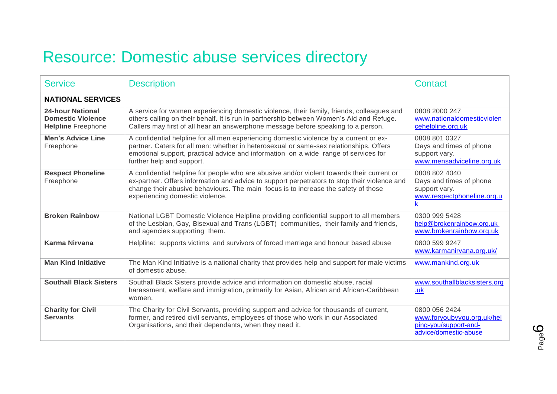### Resource: Domestic abuse services directory

| <b>Service</b>                                                                   | <b>Description</b>                                                                                                                                                                                                                                                                                                  | Contact                                                                                                             |  |
|----------------------------------------------------------------------------------|---------------------------------------------------------------------------------------------------------------------------------------------------------------------------------------------------------------------------------------------------------------------------------------------------------------------|---------------------------------------------------------------------------------------------------------------------|--|
| <b>NATIONAL SERVICES</b>                                                         |                                                                                                                                                                                                                                                                                                                     |                                                                                                                     |  |
| <b>24-hour National</b><br><b>Domestic Violence</b><br><b>Helpline Freephone</b> | A service for women experiencing domestic violence, their family, friends, colleagues and<br>others calling on their behalf. It is run in partnership between Women's Aid and Refuge.<br>Callers may first of all hear an answerphone message before speaking to a person.                                          | 0808 2000 247<br>www.nationaldomesticviolen<br>cehelpline.org.uk                                                    |  |
| <b>Men's Advice Line</b><br>Freephone                                            | A confidential helpline for all men experiencing domestic violence by a current or ex-<br>partner. Caters for all men: whether in heterosexual or same-sex relationships. Offers<br>emotional support, practical advice and information on a wide range of services for<br>further help and support.                | 0808 801 0327<br>Days and times of phone<br>support vary.<br>www.mensadviceline.org.uk                              |  |
| <b>Respect Phoneline</b><br>Freephone                                            | A confidential helpline for people who are abusive and/or violent towards their current or<br>ex-partner. Offers information and advice to support perpetrators to stop their violence and<br>change their abusive behaviours. The main focus is to increase the safety of those<br>experiencing domestic violence. | 0808 802 4040<br>Days and times of phone<br>support vary.<br>www.respectphoneline.org.u<br>$\underline{\mathbf{k}}$ |  |
| <b>Broken Rainbow</b>                                                            | National LGBT Domestic Violence Helpline providing confidential support to all members<br>of the Lesbian, Gay, Bisexual and Trans (LGBT) communities, their family and friends,<br>and agencies supporting them.                                                                                                    | 0300 999 5428<br>help@brokenrainbow.org.uk<br>www.brokenrainbow.org.uk                                              |  |
| <b>Karma Nirvana</b>                                                             | Helpline: supports victims and survivors of forced marriage and honour based abuse                                                                                                                                                                                                                                  | 0800 599 9247<br>www.karmanirvana.org.uk/                                                                           |  |
| <b>Man Kind Initiative</b>                                                       | The Man Kind Initiative is a national charity that provides help and support for male victims<br>of domestic abuse.                                                                                                                                                                                                 | www.mankind.org.uk                                                                                                  |  |
| <b>Southall Black Sisters</b>                                                    | Southall Black Sisters provide advice and information on domestic abuse, racial<br>harassment, welfare and immigration, primarily for Asian, African and African-Caribbean<br>women.                                                                                                                                | www.southallblacksisters.org<br>.uk                                                                                 |  |
| <b>Charity for Civil</b><br><b>Servants</b>                                      | The Charity for Civil Servants, providing support and advice for thousands of current,<br>former, and retired civil servants, employees of those who work in our Associated<br>Organisations, and their dependants, when they need it.                                                                              | 0800 056 2424<br>www.foryoubyyou.org.uk/hel<br>ping-you/support-and-<br>advice/domestic-abuse                       |  |